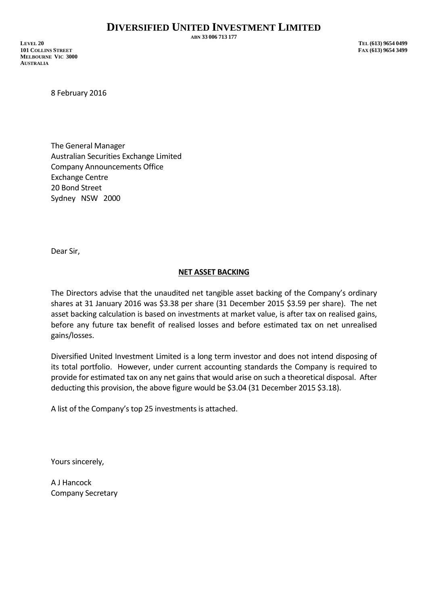**ABN 33 006 713 177**

**LEVEL 20 TEL (613) 9654 0499 101 COLLINS STREET FAX (613) 9654 3499 MELBOURNE VIC 3000 AUSTRALIA**

8 February 2016

The General Manager Australian Securities Exchange Limited Company Announcements Office Exchange Centre 20 Bond Street Sydney NSW 2000

Dear Sir,

## **NET ASSET BACKING**

The Directors advise that the unaudited net tangible asset backing of the Company's ordinary shares at 31 January 2016 was \$3.38 per share (31 December 2015 \$3.59 per share). The net asset backing calculation is based on investments at market value, is after tax on realised gains, before any future tax benefit of realised losses and before estimated tax on net unrealised gains/losses.

Diversified United Investment Limited is a long term investor and does not intend disposing of its total portfolio. However, under current accounting standards the Company is required to provide for estimated tax on any net gains that would arise on such a theoretical disposal. After deducting this provision, the above figure would be \$3.04 (31 December 2015 \$3.18).

A list of the Company's top 25 investments is attached.

Yours sincerely,

A J Hancock Company Secretary